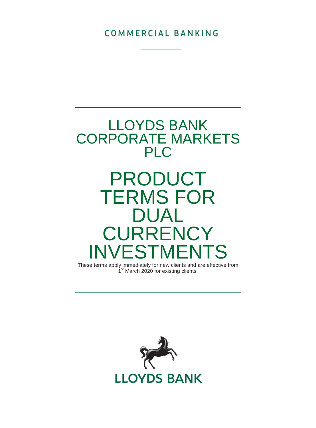COMMERCIAL BANKING



These terms apply immediately for new clients and are effective from 1<sup>st</sup> March 2020 for existing clients.

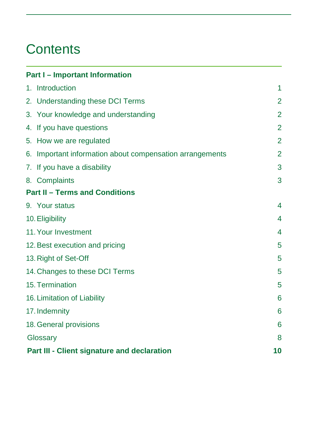## **Contents**

| <b>Part I - Important Information</b>                    |                |
|----------------------------------------------------------|----------------|
| 1. Introduction                                          | 1              |
| 2. Understanding these DCI Terms                         | $\overline{2}$ |
| 3. Your knowledge and understanding                      | $\overline{2}$ |
| 4. If you have questions                                 | $\overline{2}$ |
| 5. How we are regulated                                  | $\overline{2}$ |
| 6. Important information about compensation arrangements | $\overline{2}$ |
| 7. If you have a disability                              | 3              |
| 8. Complaints                                            | 3              |
| <b>Part II - Terms and Conditions</b>                    |                |
| 9. Your status                                           | 4              |
| 10. Eligibility                                          | 4              |
| 11. Your Investment                                      | 4              |
| 12. Best execution and pricing                           | 5              |
| 13. Right of Set-Off                                     | 5              |
| 14. Changes to these DCI Terms                           | 5              |
| 15. Termination                                          | 5              |
| 16. Limitation of Liability                              | 6              |
| 17. Indemnity                                            | 6              |
| 18. General provisions                                   | 6              |
| Glossary                                                 | 8              |
| Part III - Client signature and declaration              | 10             |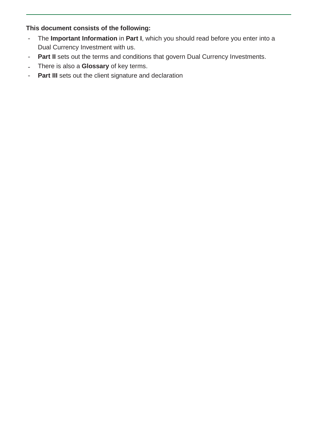## **This document consists of the following:**

- The **Important Information** in **Part I**, which you should read before you enter into a Dual Currency Investment with us.
- Part II sets out the terms and conditions that govern Dual Currency Investments.
- There is also a **Glossary** of key terms.
- **Part III** sets out the client signature and declaration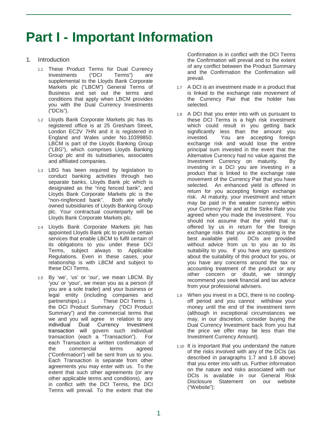## **Part I - Important Information**

- 1. Introduction
	- 1.1 These Product Terms for Dual Currency<br>Investments ("DCI Terms") are Investments supplemental to the Lloyds Bank Corporate Markets plc ("LBCM") General Terms of Business and set out the terms and conditions that apply when LBCM provides you with the Dual Currency Investments ("DCIs").
	- 1.2 Lloyds Bank Corporate Markets plc has its registered office is at 25 Gresham Street, London EC2V 7HN and it is registered in England and Wales under No.10399850. LBCM is part of the Lloyds Banking Group ("LBG"), which comprises Lloyds Banking Group plc and its subsidiaries, associates and affiliated companies.
	- 1.3 LBG has been required by legislation to conduct banking activities through two separate banks, Lloyds Bank plc which is designated as the "ring fenced bank", and Lloyds Bank Corporate Markets plc is the "non-ringfenced bank". Both are wholly owned subsidiaries of Lloyds Banking Group plc. Your contractual counterparty will be Lloyds Bank Corporate Markets plc.
	- 1.4 Lloyds Bank Corporate Markets plc has appointed Lloyds Bank plc to provide certain services that enable LBCM to fulfil certain of its obligations to you under these DCI Terms, subject always to Applicable Regulations. Even in these cases, your relationship is with LBCM and subject to these DCI Terms.
	- 1.5 By 'we', 'us' or 'our', we mean LBCM. By 'you' or 'your', we mean you as a person (if you are a sole trader) and your business or legal entity (including companies and These DCI Terms ). the DCI Product Summary ("DCI Product Summary") and the commercial terms that we and you will agree in relation to any individual Dual Currency Investment transaction will govern such individual transaction (each a "Transaction"). For each Transaction a written confirmation of<br>the commercial terms agreed the commercial terms agreed ("Confirmation") will be sent from us to you. Each Transaction is separate from other agreements you may enter with us. To the extent that such other agreements (or any other applicable terms and conditions), are in conflict with the DCI Terms, the DCI Terms will prevail. To the extent that the

Confirmation is in conflict with the DCI Terms the Confirmation will prevail and to the extent of any conflict between the Product Summary and the Confirmation the Confirmation will prevail.

- 1.7 A DCI is an investment made in a product that is linked to the exchange rate movement of the Currency Pair that the holder has selected.
- 1.8 A DCI that you enter into with us pursuant to these DCI Terms is a high risk investment which could result in you getting back significantly less than the amount you invested. You are accepting foreign exchange risk and would lose the entire principal sum invested in the event that the Alternative Currency had no value against the<br>Investment Currency on maturity. By Investment Currency on maturity. investing in a DCI you are investing in a product that is linked to the exchange rate movement of the Currency Pair that you have selected. An enhanced yield is offered in return for you accepting foreign exchange risk. At maturity, your investment and return may be paid in the weaker currency within your Currency Pair and at the Strike Rate you agreed when you made the investment. You should not assume that the yield that is offered by us in return for the foreign exchange risks that you are accepting is the best available yield. DCIs are provided without advice from us to you as to its suitability to you. If you have any questions about the suitability of this product for you, or you have any concerns around the tax or accounting treatment of the product or any other concern or doubt, we strongly recommend you seek financial and tax advice from your professional advisers.
- 1.9 When you invest in a DCI, there is no coolingoff period and you cannot withdraw your money until the end of the investment term (although in exceptional circumstances we may, in our discretion, consider buying the Dual Currency Investment back from you but the price we offer may be less than the Investment Currency Amount).
- 1.10 It is important that you understand the nature of the risks involved with any of the DCIs (as described in paragraphs 1.7 and 1.8 above) that you enter into with us. Further information on the nature and risks associated with our DCIs is available in our General Risk Disclosure Statement on our website ("Website"):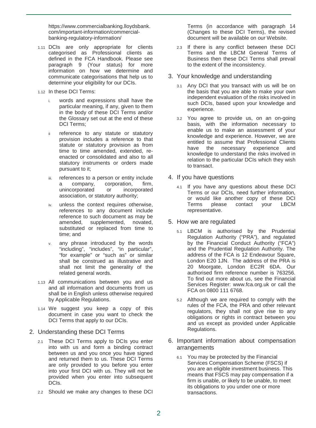https://www.commercialbanking.lloydsbank. com/important-information/commercialbanking-regulatory-information/

- 1.11 DCIs are only appropriate for clients categorised as Professional clients as defined in the FCA Handbook. Please see paragraph 9 (Your status) for more information on how we determine and communicate categorisations that help us to determine your eligibility for our DCIs.
- 1.12 In these DCI Terms:
	- i. words and expressions shall have the particular meaning, if any, given to them in the body of these DCI Terms and/or the Glossary set out at the end of these DCI Terms:
	- ii reference to any statute or statutory provision includes a reference to that statute or statutory provision as from time to time amended, extended, reenacted or consolidated and also to all statutory instruments or orders made pursuant to it;
	- iii. references to a person or entity include<br>a company. corporation. firm. a company, corporation, firm, unincorporated association, or statutory authority;
	- iv. unless the context requires otherwise, references to any document include reference to such document as may be amended, supplemented, novated, substituted or replaced from time to time; and
	- v. any phrase introduced by the words "including", "includes", "in particular", "for example" or "such as" or similar shall be construed as illustrative and shall not limit the generality of the related general words.
- 1.13 All communications between you and us and all information and documents from us shall be in English unless otherwise required by Applicable Regulations.
- 1.14 We suggest you keep a copy of this document in case you want to check the DCI Terms that apply to our DCIs.
- 2. Understanding these DCI Terms
	- 2.1 These DCI Terms apply to DCIs you enter into with us and form a binding contract between us and you once you have signed and returned them to us. These DCI Terms are only provided to you before you enter into your first DCI with us. They will not be provided when you enter into subsequent DCIs.
	- 2.2 Should we make any changes to these DCI

Terms (in accordance with paragraph 14 (Changes to these DCI Terms), the revised document will be available on our Website.

- 2.3 If there is any conflict between these DCI Terms and the LBCM General Terms of Business then these DCI Terms shall prevail to the extent of the inconsistency.
- 3. Your knowledge and understanding
	- 3.1 Any DCI that you transact with us will be on the basis that you are able to make your own independent evaluation of the risks involved in such DCIs, based upon your knowledge and experience.
	- 3.2 You agree to provide us, on an on-going basis, with the information necessary to enable us to make an assessment of your knowledge and experience. However, we are entitled to assume that Professional Clients have the necessary experience and knowledge to understand the risks involved in relation to the particular DCIs which they wish to transact.
- 4. If you have questions
	- 4.1 If you have any questions about these DCI Terms or our DCIs, need further information, or would like another copy of these DCI please contact your LBCM representative.
- 5. How we are regulated
	- 5.1 LBCM is authorised by the Prudential Regulation Authority ("PRA"), and regulated by the Financial Conduct Authority ("FCA") and the Prudential Regulation Authority. The address of the FCA is 12 Endeavour Square, London E20 1JN. The address of the PRA is 20 Moorgate, London EC2R 6DA. Our authorised firm reference number is 763256. To find out more about us, see the Financial Services Register: www.fca.org.uk or call the FCA on 0800 111 6768.
	- 5.2 Although we are required to comply with the rules of the FCA, the PRA and other relevant regulators, they shall not give rise to any obligations or rights in contract between you and us except as provided under Applicable Regulations.
- 6. Important information about compensation arrangements
	- 6.1 You may be protected by the Financial Services Compensation Scheme (FSCS) if you are an eligible investment business. This means that FSCS may pay compensation if a firm is unable, or likely to be unable, to meet its obligations to you under one or more transactions.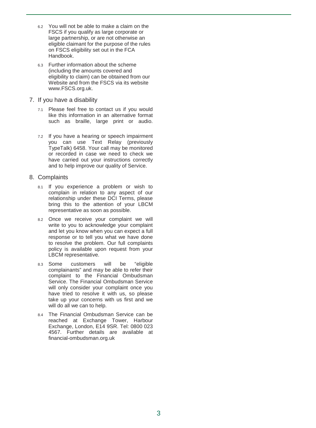- 6.2 You will not be able to make a claim on the FSCS if you qualify as large corporate or large partnership, or are not otherwise an eligible claimant for the purpose of the rules on FSCS eligibility set out in the FCA Handbook.
- 6.3 Further information about the scheme (including the amounts covered and eligibility to claim) can be obtained from our Website and from the FSCS via its website www.FSCS.org.uk.
- 7. If you have a disability
	- 7.1 Please feel free to contact us if you would like this information in an alternative format such as braille, large print or audio.
	- 7.2 If you have a hearing or speech impairment you can use Text Relay (previously TypeTalk) 6458. Your call may be monitored or recorded in case we need to check we have carried out your instructions correctly and to help improve our quality of Service.
- 8. Complaints
	- 8.1 If you experience a problem or wish to complain in relation to any aspect of our relationship under these DCI Terms, please bring this to the attention of your LBCM representative as soon as possible.
	- 8.2 Once we receive your complaint we will write to you to acknowledge your complaint and let you know when you can expect a full response or to tell you what we have done to resolve the problem. Our full complaints policy is available upon request from your LBCM representative.
	- 8.3 Some customers will be "eligible complainants" and may be able to refer their complaint to the Financial Ombudsman Service. The Financial Ombudsman Service will only consider your complaint once you have tried to resolve it with us, so please take up your concerns with us first and we will do all we can to help.
	- 8.4 The Financial Ombudsman Service can be reached at Exchange Tower, Harbour Exchange, London, E14 9SR. Tel: 0800 023 4567. Further details are available at financial-ombudsman.org.uk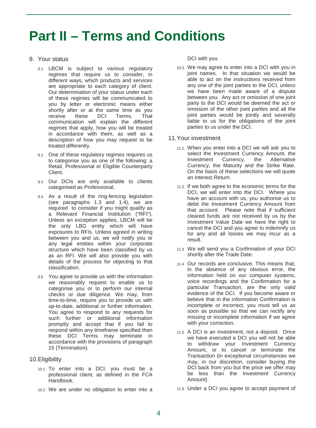## **Part II – Terms and Conditions**

## 9. Your status

- 9.1 LBCM is subject to various regulatory regimes that require us to consider, in different ways, which products and services are appropriate to each category of client. Our determination of your status under each of these regimes will be communicated to you by letter or electronic means either shortly after or at the same time as you receive these DCI Terms. That Terms. communication will explain the different regimes that apply, how you will be treated in accordance with them, as well as a description of how you may request to be treated differently.
- 9.2 One of these regulatory regimes requires us to categorise you as one of the following: a Retail, Professional or Eligible Counterparty Client.
- 9.3 Our DCIs are only available to clients categorised as Professional.
- 9.4 As a result of the ring-fencing legislation (see paragraphs 1.3 and 1.4), we are required to consider if you might qualify as a Relevant Financial Institution ("RFI"). Unless an exception applies, LBCM will be the only LBG entity which will have exposures to RFIs. Unless agreed in writing between you and us, we will notify you or any legal entities within your corporate structure which have been classified by us as an RFI. We will also provide you with details of the process for objecting to that classification.
- 9.5 You agree to provide us with the information we reasonably request to enable us to categorise you or to perform our internal checks or due diligence. We may, from time-to-time, require you to provide us with up-to-date, additional or further information. You agree to respond to any requests for such further or additional information promptly and accept that if you fail to respond within any timeframe specified then these DCI Terms may terminate in accordance with the provisions of paragraph 15 (Termination).

## 10.Eligibility

- 10.1 To enter into a DCI, you must be a professional client, as defined in the FCA Handbook.
- 10.2 We are under no obligation to enter into a

DCI with you.

10.3 We may agree to enter into a DCI with you in joint names. In that situation we would be able to act on the instructions received from any one of the joint parties to the DCI, unless we have been made aware of a dispute between you. Any act or omission of one joint party to the DCI would be deemed the act or omission of the other joint parties and all the joint parties would be jointly and severally liable to us for the obligations of the joint parties to us under the DCI.

### 11.Your investment

- 11.1 When you enter into a DCI we will ask you to select the Investment Currency Amount, the<br>Investment Currency, the Alternative Investment Currency, the Currency, the Maturity and the Strike Rate. On the basis of these selections we will quote an Interest Return.
- 11.2 If we both agree to the economic terms for the DCI, we will enter into the DCI. Where you have an account with us, you authorise us to debit the Investment Currency Amount from that account. Please note that if sufficient cleared funds are not received by us by the Investment Value Date we have the right to cancel the DCI and you agree to indemnify us for any and all losses we may incur as a result.
- 11.3 We will send you a Confirmation of your DCI shortly after the Trade Date.
- 11.4 Our records are conclusive. This means that, in the absence of any obvious error, the information held on our computer systems, voice recordings and the Confirmation for a particular Transaction, are the only valid evidence of the DCI. If you become aware or believe that in the information Confirmation is incomplete or incorrect, you must tell us as soon as possible so that we can rectify any missing or incomplete information if we agree with your correction.
- 11.5 A DCI is an investment, not a deposit. Once we have executed a DCI you will not be able to withdraw your Investment Currency Amount, or to cancel or terminate the Transaction (in exceptional circumstances we may, in our discretion, consider buying the DCI back from you but the price we offer may be less than the Investment Currency Amount).
- 11.6 Under a DCI you agree to accept payment of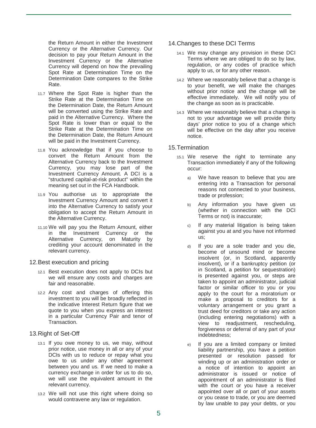the Return Amount in either the Investment Currency or the Alternative Currency. Our decision to pay your Return Amount in the Investment Currency or the Alternative Currency will depend on how the prevailing Spot Rate at Determination Time on the Determination Date compares to the Strike Rate.

- 11.7 Where the Spot Rate is higher than the Strike Rate at the Determination Time on the Determination Date, the Return Amount will be converted using the Strike Rate and paid in the Alternative Currency. Where the Spot Rate is lower than or equal to the Strike Rate at the Determination Time on the Determination Date, the Return Amount will be paid in the Investment Currency.
- 11.8 You acknowledge that if you choose to convert the Return Amount from the Alternative Currency back to the Investment Currency, you may lose part of the Investment Currency Amount. A DCI is a "structured capital-at-risk product" within the meaning set out in the FCA Handbook.
- 11.9 You authorise us to appropriate the Investment Currency Amount and convert it into the Alternative Currency to satisfy your obligation to accept the Return Amount in the Alternative Currency.
- 11.10 We will pay you the Return Amount, either in the Investment Currency or the Alternative Currency, on Maturity by crediting your account denominated in the relevant currency.

#### 12.Best execution and pricing

- 12.1 Best execution does not apply to DCIs but we will ensure any costs and charges are fair and reasonable.
- 12.2 Any cost and charges of offering this investment to you will be broadly reflected in the indicative Interest Return figure that we quote to you when you express an interest in a particular Currency Pair and tenor of Transaction.

## 13.Right of Set-Off

- 13.1 If you owe money to us, we may, without prior notice, use money in all or any of your DCIs with us to reduce or repay what you owe to us under any other agreement between you and us. If we need to make a currency exchange in order for us to do so, we will use the equivalent amount in the relevant currency.
- 13.2 We will not use this right where doing so would contravene any law or regulation.

## 14.Changes to these DCI Terms

- 14.1 We may change any provision in these DCI Terms where we are obliged to do so by law, regulation, or any codes of practice which apply to us, or for any other reason.
- 14.2 Where we reasonably believe that a change is to your benefit, we will make the changes without prior notice and the change will be effective immediately. We will notify you of the change as soon as is practicable.
- 14.3 Where we reasonably believe that a change is not to your advantage we will provide thirty days' prior notice to you of a change which will be effective on the day after you receive notice.

## 15.Termination

- 15.1 We reserve the right to terminate any Transaction immediately if any of the following occur:
	- a) We have reason to believe that you are entering into a Transaction for personal reasons not connected to your business, trade or profession;
	- b) Any information you have given us (whether in connection with the DCI Terms or not) is inaccurate;
	- c) If any material litigation is being taken against you at and you have not informed us;
	- d) If you are a sole trader and you die, become of unsound mind or become insolvent (or, in Scotland, apparently insolvent), or if a bankruptcy petition (or in Scotland, a petition for sequestration) is presented against you, or steps are taken to appoint an administrator, judicial factor or similar officer to you or you apply to the court for a moratorium or make a proposal to creditors for a voluntary arrangement or you grant a trust deed for creditors or take any action (including entering negotiations) with a view to readjustment, rescheduling, forgiveness or deferral of any part of your indebtedness;
	- e) If you are a limited company or limited liability partnership, you have a petition presented or resolution passed for winding up or an administration order or a notice of intention to appoint an administrator is issued or notice of appointment of an administrator is filed with the court or you have a receiver appointed over all or part of your assets or you cease to trade, or you are deemed by law unable to pay your debts, or you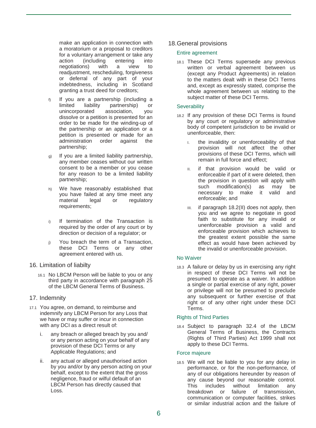make an application in connection with a moratorium or a proposal to creditors for a voluntary arrangement or take any action (including entering into<br>
negotiations) with a view to negotiations) with readjustment, rescheduling, forgiveness or deferral of any part of your indebtedness, including in Scotland granting a trust deed for creditors;

- f) If you are a partnership (including a limited liability partnership) or<br>unincorporated association. vou unincorporated dissolve or a petition is presented for an order to be made for the winding-up of the partnership or an application or a petition is presented or made for an administration order against the partnership;
- g) If you are a limited liability partnership, any member ceases without our written consent to be a member or you cease for any reason to be a limited liability partnership;
- h) We have reasonably established that you have failed at any time meet any<br>material legal or regulatory legal or requirements;
- i) If termination of the Transaction is required by the order of any court or by direction or decision of a regulator; or
- j) You breach the term of a Transaction, these DCI Terms or any other agreement entered with us.

## 16. Limitation of liabilty

16.1 No LBCM Person will be liable to you or any third party in accordance with paragraph 25 of the LBCM General Terms of Business.

## 17. Indemnity

- 17.1 You agree, on demand, to reimburse and indemnify any LBCM Person for any Loss that we have or may suffer or incur in connection with any DCI as a direct result of:
	- i. any breach or alleged breach by you and/ or any person acting on your behalf of any provision of these DCI Terms or any Applicable Regulations; and
	- ii. any actual or alleged unauthorised action by you and/or by any person acting on your behalf, except to the extent that the gross negligence, fraud or wilful default of an LBCM Person has directly caused that Loss.

## 18.General provisions

## Entire agreement

18.1 These DCI Terms supersede any previous written or verbal agreement between us (except any Product Agreements) in relation to the matters dealt with in these DCI Terms and, except as expressly stated, comprise the whole agreement between us relating to the subject matter of these DCI Terms.

### **Severability**

- 18.2 If any provision of these DCI Terms is found by any court or regulatory or administrative body of competent jurisdiction to be invalid or unenforceable, then:
	- I. the invalidity or unenforceability of that provision will not affect the other provisions of these DCI Terms, which will remain in full force and effect;
	- II. if that provision would be valid or enforceable if part of it were deleted, then the provision in question will apply with such modification(s) as may be necessary to make it valid and enforceable; and
	- III. if paragraph 18.2(II) does not apply, then you and we agree to negotiate in good faith to substitute for any invalid or unenforceable provision a valid and enforceable provision which achieves to the greatest extent possible the same effect as would have been achieved by the invalid or unenforceable provision.

#### No Waiver

18.3 A failure or delay by us in exercising any right in respect of these DCI Terms will not be presumed to operate as a waiver. In addition a single or partial exercise of any right, power or privilege will not be presumed to preclude any subsequent or further exercise of that right or of any other right under these DCI Terms.

## Rights of Third Parties

18.4 Subject to paragraph 32.4 of the LBCM General Terms of Business, the Contracts (Rights of Third Parties) Act 1999 shall not apply to these DCI Terms.

## Force majeure

18.5 We will not be liable to you for any delay in performance, or for the non-performance, of any of our obligations hereunder by reason of any cause beyond our reasonable control.<br>This includes without limitation any includes without limitation breakdown or failure of transmission, communication or computer facilities, strikes or similar industrial action and the failure of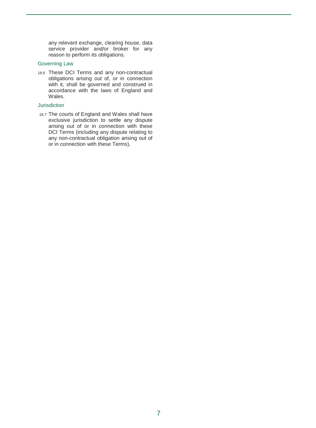any relevant exchange, clearing house, data service provider and/or broker for any reason to perform its obligations.

## Governing Law

18.6 These DCI Terms and any non-contractual obligations arising out of, or in connection with it, shall be governed and construed in accordance with the laws of England and Wales.

## Jurisdiction

18.7 The courts of England and Wales shall have exclusive jurisdiction to settle any dispute arising out of or in connection with these DCI Terms (including any dispute relating to any non-contractual obligation arising out of or in connection with these Terms).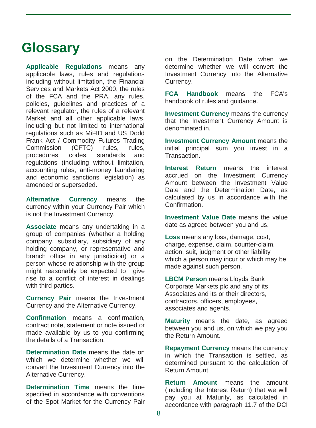## **Glossary**

**Applicable Regulations** means any applicable laws, rules and regulations including without limitation, the Financial Services and Markets Act 2000, the rules of the FCA and the PRA, any rules, policies, guidelines and practices of a relevant regulator, the rules of a relevant Market and all other applicable laws, including but not limited to international regulations such as MiFID and US Dodd Frank Act / Commodity Futures Trading<br>Commission (CFTC) rules. rules. Commission (CFTC) rules, rules, procedures, codes, standards and regulations (including without limitation, accounting rules, anti-money laundering and economic sanctions legislation) as amended or superseded.

**Alternative Currency** means the currency within your Currency Pair which is not the Investment Currency.

**Associate** means any undertaking in a group of companies (whether a holding company, subsidiary, subsidiary of any holding company, or representative and branch office in any jurisdiction) or a person whose relationship with the group might reasonably be expected to give rise to a conflict of interest in dealings with third parties.

**Currency Pair** means the Investment Currency and the Alternative Currency.

**Confirmation** means a confirmation, contract note, statement or note issued or made available by us to you confirming the details of a Transaction.

**Determination Date** means the date on which we determine whether we will convert the Investment Currency into the Alternative Currency.

**Determination Time** means the time specified in accordance with conventions of the Spot Market for the Currency Pair on the Determination Date when we determine whether we will convert the Investment Currency into the Alternative Currency.

**FCA Handbook** means the FCA's handbook of rules and guidance.

**Investment Currency** means the currency that the Investment Currency Amount is denominated in.

**Investment Currency Amount** means the initial principal sum you invest in a Transaction.

**Interest Return** means the interest accrued on the Investment Currency Amount between the Investment Value Date and the Determination Date, as calculated by us in accordance with the Confirmation.

**Investment Value Date** means the value date as agreed between you and us.

**Loss** means any loss, damage, cost, charge, expense, claim, counter-claim, action, suit, judgment or other liability which a person may incur or which may be made against such person.

**LBCM Person** means Lloyds Bank Corporate Markets plc and any of its Associates and its or their directors, contractors, officers, employees, associates and agents.

**Maturity** means the date, as agreed between you and us, on which we pay you the Return Amount.

**Repayment Currency** means the currency in which the Transaction is settled, as determined pursuant to the calculation of Return Amount.

**Return Amount** means the amount (including the Interest Return) that we will pay you at Maturity, as calculated in accordance with paragraph 11.7 of the DCI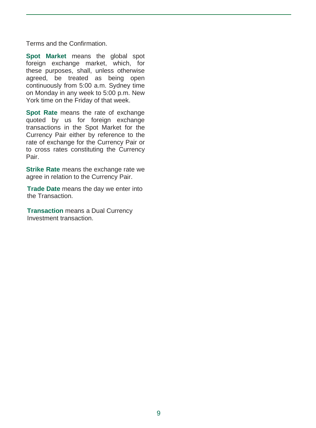Terms and the Confirmation.

**Spot Market** means the global spot foreign exchange market, which, for these purposes, shall, unless otherwise agreed, be treated as being open continuously from 5:00 a.m. Sydney time on Monday in any week to 5:00 p.m. New York time on the Friday of that week.

**Spot Rate** means the rate of exchange quoted by us for foreign exchange transactions in the Spot Market for the Currency Pair either by reference to the rate of exchange for the Currency Pair or to cross rates constituting the Currency Pair.

**Strike Rate** means the exchange rate we agree in relation to the Currency Pair.

**Trade Date** means the day we enter into the Transaction.

**Transaction** means a Dual Currency Investment transaction.